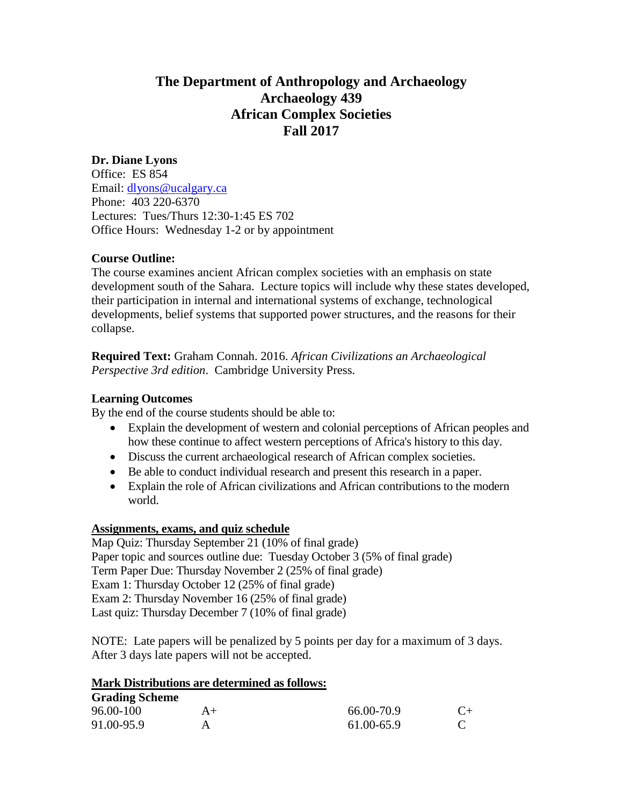## **The Department of Anthropology and Archaeology Archaeology 439 African Complex Societies Fall 2017**

## **Dr. Diane Lyons**

Office: ES 854 Email: [dlyons@ucalgary.ca](mailto:dlyons@ucalgary.ca) Phone: 403 220-6370 Lectures: Tues/Thurs 12:30-1:45 ES 702 Office Hours: Wednesday 1-2 or by appointment

## **Course Outline:**

The course examines ancient African complex societies with an emphasis on state development south of the Sahara. Lecture topics will include why these states developed, their participation in internal and international systems of exchange, technological developments, belief systems that supported power structures, and the reasons for their collapse.

**Required Text:** Graham Connah. 2016. *African Civilizations an Archaeological Perspective 3rd edition*. Cambridge University Press.

## **Learning Outcomes**

By the end of the course students should be able to:

- Explain the development of western and colonial perceptions of African peoples and how these continue to affect western perceptions of Africa's history to this day.
- Discuss the current archaeological research of African complex societies.
- Be able to conduct individual research and present this research in a paper.
- Explain the role of African civilizations and African contributions to the modern world.

#### **Assignments, exams, and quiz schedule**

Map Quiz: Thursday September 21 (10% of final grade) Paper topic and sources outline due: Tuesday October 3 (5% of final grade) Term Paper Due: Thursday November 2 (25% of final grade) Exam 1: Thursday October 12 (25% of final grade) Exam 2: Thursday November 16 (25% of final grade) Last quiz: Thursday December 7 (10% of final grade)

NOTE: Late papers will be penalized by 5 points per day for a maximum of 3 days. After 3 days late papers will not be accepted.

#### **Mark Distributions are determined as follows:**

# **Grading Scheme**

| 96.00-100  | $A+$ | 66.00-70.9 | $C_{\pm}$ |
|------------|------|------------|-----------|
| 91.00-95.9 |      | 61.00-65.9 |           |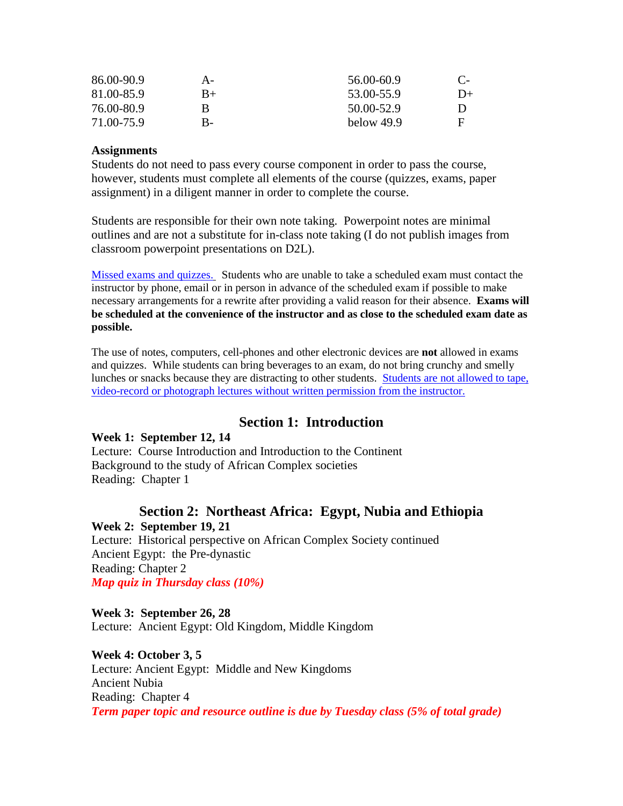| 86.00-90.9 | А-   | 56.00-60.9 | $\mathbf{C}$ |
|------------|------|------------|--------------|
| 81.00-85.9 | $B+$ | 53.00-55.9 | $D+$         |
| 76.00-80.9 | В    | 50.00-52.9 | Ð            |
| 71.00-75.9 | B-   | below 49.9 | E            |

#### **Assignments**

Students do not need to pass every course component in order to pass the course, however, students must complete all elements of the course (quizzes, exams, paper assignment) in a diligent manner in order to complete the course.

Students are responsible for their own note taking. Powerpoint notes are minimal outlines and are not a substitute for in-class note taking (I do not publish images from classroom powerpoint presentations on D2L).

Missed exams and quizzes.Students who are unable to take a scheduled exam must contact the instructor by phone, email or in person in advance of the scheduled exam if possible to make necessary arrangements for a rewrite after providing a valid reason for their absence. **Exams will be scheduled at the convenience of the instructor and as close to the scheduled exam date as possible.** 

The use of notes, computers, cell-phones and other electronic devices are **not** allowed in exams and quizzes. While students can bring beverages to an exam, do not bring crunchy and smelly lunches or snacks because they are distracting to other students. Students are not allowed to tape, video-record or photograph lectures without written permission from the instructor.

## **Section 1: Introduction**

#### **Week 1: September 12, 14**

Lecture: Course Introduction and Introduction to the Continent Background to the study of African Complex societies Reading: Chapter 1

## **Section 2: Northeast Africa: Egypt, Nubia and Ethiopia Week 2: September 19, 21**

Lecture: Historical perspective on African Complex Society continued Ancient Egypt: the Pre-dynastic Reading: Chapter 2 *Map quiz in Thursday class (10%)*

**Week 3: September 26, 28** Lecture: Ancient Egypt: Old Kingdom, Middle Kingdom

**Week 4: October 3, 5** Lecture: Ancient Egypt: Middle and New Kingdoms Ancient Nubia Reading: Chapter 4 *Term paper topic and resource outline is due by Tuesday class (5% of total grade)*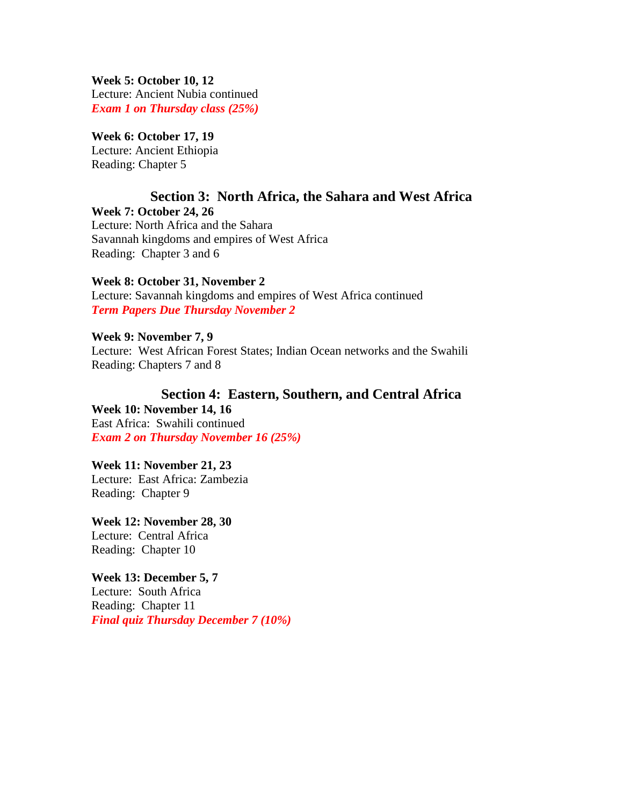**Week 5: October 10, 12**

Lecture: Ancient Nubia continued *Exam 1 on Thursday class (25%)*

#### **Week 6: October 17, 19** Lecture: Ancient Ethiopia Reading: Chapter 5

## **Section 3: North Africa, the Sahara and West Africa Week 7: October 24, 26**

Lecture: North Africa and the Sahara Savannah kingdoms and empires of West Africa Reading: Chapter 3 and 6

## **Week 8: October 31, November 2**

Lecture: Savannah kingdoms and empires of West Africa continued *Term Papers Due Thursday November 2*

**Week 9: November 7, 9** Lecture: West African Forest States; Indian Ocean networks and the Swahili Reading: Chapters 7 and 8

#### **Section 4: Eastern, Southern, and Central Africa Week 10: November 14, 16**

East Africa: Swahili continued *Exam 2 on Thursday November 16 (25%)* 

#### **Week 11: November 21, 23** Lecture: East Africa: Zambezia Reading: Chapter 9

**Week 12: November 28, 30** Lecture: Central Africa Reading: Chapter 10

## **Week 13: December 5, 7**

Lecture: South Africa Reading: Chapter 11 *Final quiz Thursday December 7 (10%)*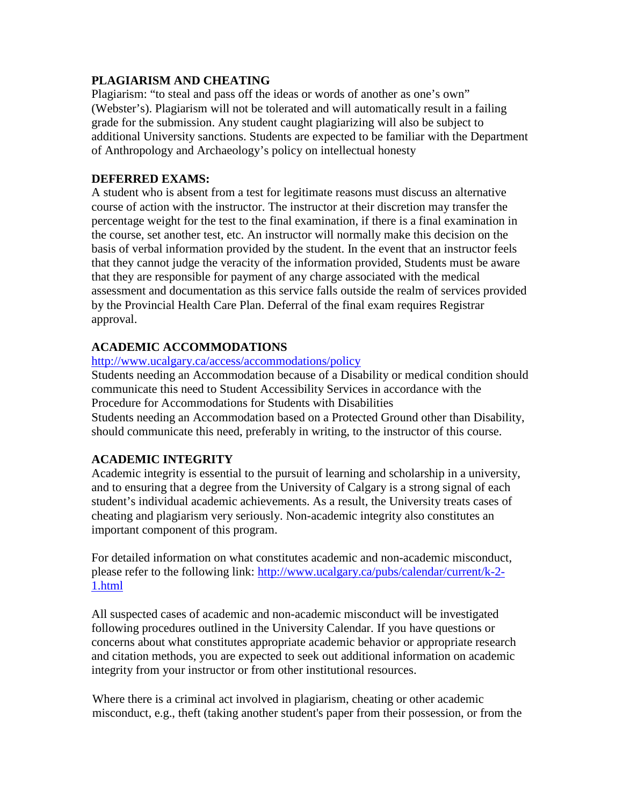## **PLAGIARISM AND CHEATING**

Plagiarism: "to steal and pass off the ideas or words of another as one's own" (Webster's). Plagiarism will not be tolerated and will automatically result in a failing grade for the submission. Any student caught plagiarizing will also be subject to additional University sanctions. Students are expected to be familiar with the Department of Anthropology and Archaeology's policy on intellectual honesty

## **DEFERRED EXAMS:**

A student who is absent from a test for legitimate reasons must discuss an alternative course of action with the instructor. The instructor at their discretion may transfer the percentage weight for the test to the final examination, if there is a final examination in the course, set another test, etc. An instructor will normally make this decision on the basis of verbal information provided by the student. In the event that an instructor feels that they cannot judge the veracity of the information provided, Students must be aware that they are responsible for payment of any charge associated with the medical assessment and documentation as this service falls outside the realm of services provided by the Provincial Health Care Plan. Deferral of the final exam requires Registrar approval.

## **ACADEMIC ACCOMMODATIONS**

#### <http://www.ucalgary.ca/access/accommodations/policy>

Students needing an Accommodation because of a Disability or medical condition should communicate this need to Student Accessibility Services in accordance with the Procedure for Accommodations for Students with Disabilities Students needing an Accommodation based on a Protected Ground other than Disability, should communicate this need, preferably in writing, to the instructor of this course.

## **ACADEMIC INTEGRITY**

Academic integrity is essential to the pursuit of learning and scholarship in a university, and to ensuring that a degree from the University of Calgary is a strong signal of each student's individual academic achievements. As a result, the University treats cases of cheating and plagiarism very seriously. Non-academic integrity also constitutes an important component of this program.

For detailed information on what constitutes academic and non-academic misconduct, please refer to the following link: [http://www.ucalgary.ca/pubs/calendar/current/k-2-](http://www.ucalgary.ca/pubs/calendar/current/k-2-1.html) [1.html](http://www.ucalgary.ca/pubs/calendar/current/k-2-1.html)

All suspected cases of academic and non-academic misconduct will be investigated following procedures outlined in the University Calendar. If you have questions or concerns about what constitutes appropriate academic behavior or appropriate research and citation methods, you are expected to seek out additional information on academic integrity from your instructor or from other institutional resources.

Where there is a criminal act involved in plagiarism, cheating or other academic misconduct, e.g., theft (taking another student's paper from their possession, or from the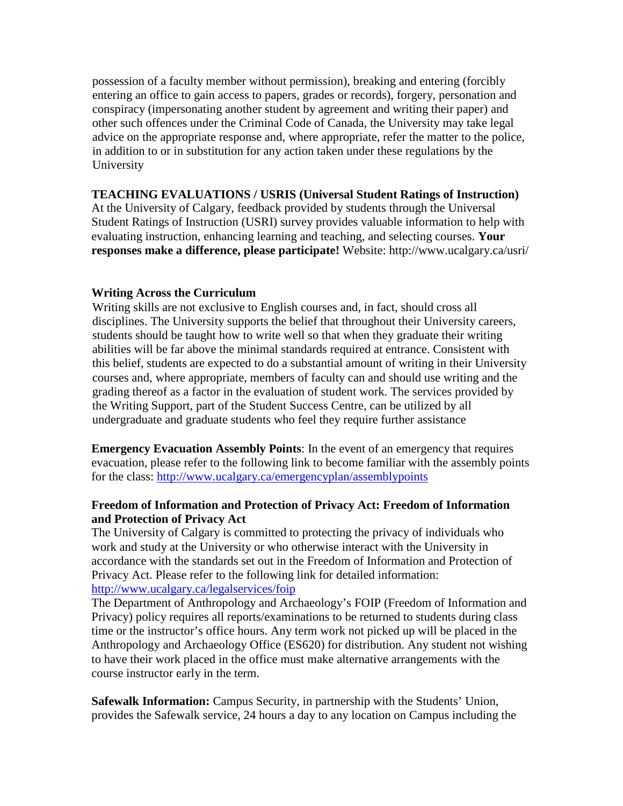possession of a faculty member without permission), breaking and entering (forcibly entering an office to gain access to papers, grades or records), forgery, personation and conspiracy (impersonating another student by agreement and writing their paper) and other such offences under the Criminal Code of Canada, the University may take legal advice on the appropriate response and, where appropriate, refer the matter to the police, in addition to or in substitution for any action taken under these regulations by the University

#### **TEACHING EVALUATIONS / USRIS (Universal Student Ratings of Instruction)**

At the University of Calgary, feedback provided by students through the Universal Student Ratings of Instruction (USRI) survey provides valuable information to help with evaluating instruction, enhancing learning and teaching, and selecting courses. **Your responses make a difference, please participate!** Website: http://www.ucalgary.ca/usri/

#### **Writing Across the Curriculum**

Writing skills are not exclusive to English courses and, in fact, should cross all disciplines. The University supports the belief that throughout their University careers, students should be taught how to write well so that when they graduate their writing abilities will be far above the minimal standards required at entrance. Consistent with this belief, students are expected to do a substantial amount of writing in their University courses and, where appropriate, members of faculty can and should use writing and the grading thereof as a factor in the evaluation of student work. The services provided by the Writing Support, part of the Student Success Centre, can be utilized by all undergraduate and graduate students who feel they require further assistance

**Emergency Evacuation Assembly Points**: In the event of an emergency that requires evacuation, please refer to the following link to become familiar with the assembly points for the class:<http://www.ucalgary.ca/emergencyplan/assemblypoints>

#### **Freedom of Information and Protection of Privacy Act: Freedom of Information and Protection of Privacy Act**

The University of Calgary is committed to protecting the privacy of individuals who work and study at the University or who otherwise interact with the University in accordance with the standards set out in the Freedom of Information and Protection of Privacy Act. Please refer to the following link for detailed information: <http://www.ucalgary.ca/legalservices/foip>

The Department of Anthropology and Archaeology's FOIP (Freedom of Information and Privacy) policy requires all reports/examinations to be returned to students during class time or the instructor's office hours. Any term work not picked up will be placed in the Anthropology and Archaeology Office (ES620) for distribution. Any student not wishing to have their work placed in the office must make alternative arrangements with the course instructor early in the term.

**Safewalk Information:** Campus Security, in partnership with the Students' Union, provides the Safewalk service, 24 hours a day to any location on Campus including the